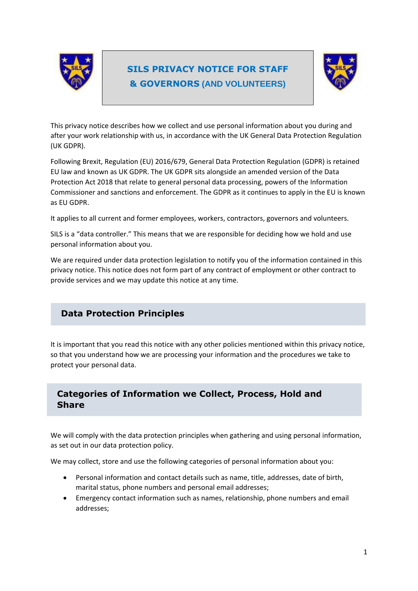

# **SILS PRIVACY NOTICE FOR STAFF & GOVERNORS (AND VOLUNTEERS)**



This privacy notice describes how we collect and use personal information about you during and after your work relationship with us, in accordance with the UK General Data Protection Regulation (UK GDPR).

Following Brexit, Regulation (EU) 2016/679, General Data Protection Regulation (GDPR) is retained EU law and known as UK GDPR. The UK GDPR sits alongside an amended version of the Data Protection Act 2018 that relate to general personal data processing, powers of the Information Commissioner and sanctions and enforcement. The GDPR as it continues to apply in the EU is known as EU GDPR.

It applies to all current and former employees, workers, contractors, governors and volunteers.

SILS is a "data controller." This means that we are responsible for deciding how we hold and use personal information about you.

We are required under data protection legislation to notify you of the information contained in this privacy notice. This notice does not form part of any contract of employment or other contract to provide services and we may update this notice at any time.

# **Data Protection Principles**

It is important that you read this notice with any other policies mentioned within this privacy notice, so that you understand how we are processing your information and the procedures we take to protect your personal data.

## **Categories of Information we Collect, Process, Hold and Share**

We will comply with the data protection principles when gathering and using personal information, as set out in our data protection policy.

We may collect, store and use the following categories of personal information about you:

- Personal information and contact details such as name, title, addresses, date of birth, marital status, phone numbers and personal email addresses;
- Emergency contact information such as names, relationship, phone numbers and email addresses;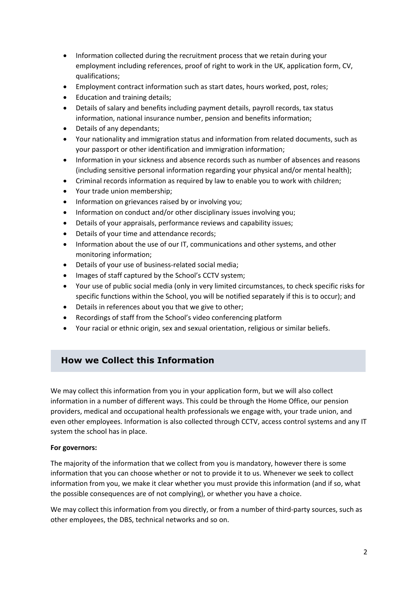- Information collected during the recruitment process that we retain during your employment including references, proof of right to work in the UK, application form, CV, qualifications;
- Employment contract information such as start dates, hours worked, post, roles;
- Education and training details;
- Details of salary and benefits including payment details, payroll records, tax status information, national insurance number, pension and benefits information;
- Details of any dependants;
- Your nationality and immigration status and information from related documents, such as your passport or other identification and immigration information;
- Information in your sickness and absence records such as number of absences and reasons (including sensitive personal information regarding your physical and/or mental health);
- Criminal records information as required by law to enable you to work with children;
- Your trade union membership;
- Information on grievances raised by or involving you;
- Information on conduct and/or other disciplinary issues involving you;
- Details of your appraisals, performance reviews and capability issues;
- Details of your time and attendance records;
- Information about the use of our IT, communications and other systems, and other monitoring information;
- Details of your use of business-related social media;
- Images of staff captured by the School's CCTV system;
- Your use of public social media (only in very limited circumstances, to check specific risks for specific functions within the School, you will be notified separately if this is to occur); and
- Details in references about you that we give to other;
- Recordings of staff from the School's video conferencing platform
- Your racial or ethnic origin, sex and sexual orientation, religious or similar beliefs.

## **How we Collect this Information**

We may collect this information from you in your application form, but we will also collect information in a number of different ways. This could be through the Home Office, our pension providers, medical and occupational health professionals we engage with, your trade union, and even other employees. Information is also collected through CCTV, access control systems and any IT system the school has in place.

#### **For governors:**

The majority of the information that we collect from you is mandatory, however there is some information that you can choose whether or not to provide it to us. Whenever we seek to collect information from you, we make it clear whether you must provide this information (and if so, what the possible consequences are of not complying), or whether you have a choice.

We may collect this information from you directly, or from a number of third-party sources, such as other employees, the DBS, technical networks and so on.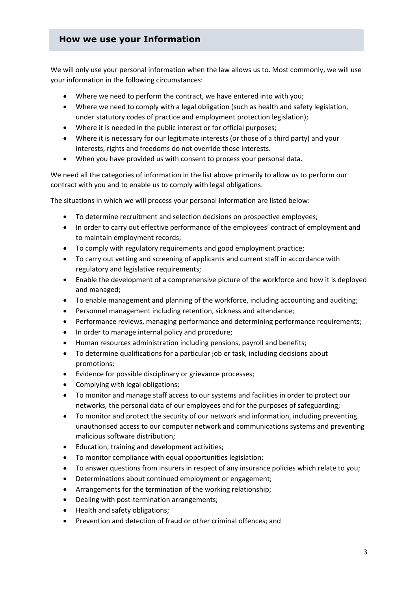## **How we use your Information**

We will only use your personal information when the law allows us to. Most commonly, we will use your information in the following circumstances:

- Where we need to perform the contract, we have entered into with you;
- Where we need to comply with a legal obligation (such as health and safety legislation, under statutory codes of practice and employment protection legislation);
- Where it is needed in the public interest or for official purposes;
- Where it is necessary for our legitimate interests (or those of a third party) and your interests, rights and freedoms do not override those interests.
- When you have provided us with consent to process your personal data.

We need all the categories of information in the list above primarily to allow us to perform our contract with you and to enable us to comply with legal obligations.

The situations in which we will process your personal information are listed below:

- To determine recruitment and selection decisions on prospective employees;
- In order to carry out effective performance of the employees' contract of employment and to maintain employment records;
- To comply with regulatory requirements and good employment practice;
- To carry out vetting and screening of applicants and current staff in accordance with regulatory and legislative requirements;
- Enable the development of a comprehensive picture of the workforce and how it is deployed and managed;
- To enable management and planning of the workforce, including accounting and auditing;
- Personnel management including retention, sickness and attendance;
- Performance reviews, managing performance and determining performance requirements;
- In order to manage internal policy and procedure;
- Human resources administration including pensions, payroll and benefits;
- To determine qualifications for a particular job or task, including decisions about promotions;
- Evidence for possible disciplinary or grievance processes;
- Complying with legal obligations;
- To monitor and manage staff access to our systems and facilities in order to protect our networks, the personal data of our employees and for the purposes of safeguarding;
- To monitor and protect the security of our network and information, including preventing unauthorised access to our computer network and communications systems and preventing malicious software distribution;
- Education, training and development activities;
- To monitor compliance with equal opportunities legislation;
- To answer questions from insurers in respect of any insurance policies which relate to you;
- Determinations about continued employment or engagement;
- Arrangements for the termination of the working relationship;
- Dealing with post-termination arrangements;
- Health and safety obligations;
- Prevention and detection of fraud or other criminal offences; and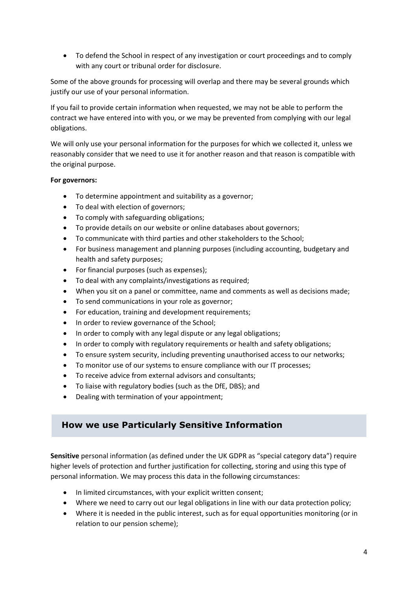• To defend the School in respect of any investigation or court proceedings and to comply with any court or tribunal order for disclosure.

Some of the above grounds for processing will overlap and there may be several grounds which justify our use of your personal information.

If you fail to provide certain information when requested, we may not be able to perform the contract we have entered into with you, or we may be prevented from complying with our legal obligations.

We will only use your personal information for the purposes for which we collected it, unless we reasonably consider that we need to use it for another reason and that reason is compatible with the original purpose.

#### **For governors:**

- To determine appointment and suitability as a governor;
- To deal with election of governors;
- To comply with safeguarding obligations;
- To provide details on our website or online databases about governors;
- To communicate with third parties and other stakeholders to the School;
- For business management and planning purposes (including accounting, budgetary and health and safety purposes;
- For financial purposes (such as expenses);
- To deal with any complaints/investigations as required;
- When you sit on a panel or committee, name and comments as well as decisions made;
- To send communications in your role as governor;
- For education, training and development requirements;
- In order to review governance of the School;
- In order to comply with any legal dispute or any legal obligations;
- In order to comply with regulatory requirements or health and safety obligations;
- To ensure system security, including preventing unauthorised access to our networks;
- To monitor use of our systems to ensure compliance with our IT processes;
- To receive advice from external advisors and consultants;
- To liaise with regulatory bodies (such as the DfE, DBS); and
- Dealing with termination of your appointment;

## **How we use Particularly Sensitive Information**

**Sensitive** personal information (as defined under the UK GDPR as "special category data") require higher levels of protection and further justification for collecting, storing and using this type of personal information. We may process this data in the following circumstances:

- In limited circumstances, with your explicit written consent;
- Where we need to carry out our legal obligations in line with our data protection policy;
- Where it is needed in the public interest, such as for equal opportunities monitoring (or in relation to our pension scheme);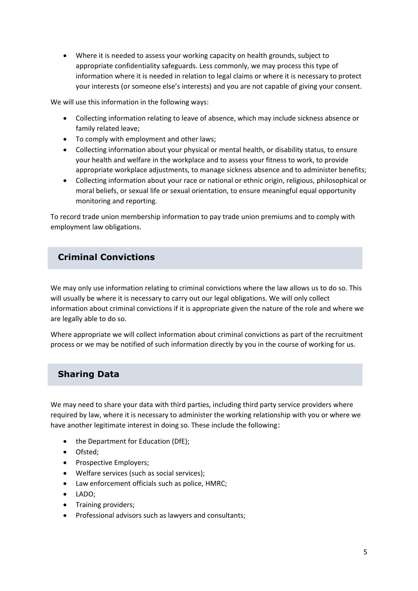• Where it is needed to assess your working capacity on health grounds, subject to appropriate confidentiality safeguards. Less commonly, we may process this type of information where it is needed in relation to legal claims or where it is necessary to protect your interests (or someone else's interests) and you are not capable of giving your consent.

We will use this information in the following ways:

- Collecting information relating to leave of absence, which may include sickness absence or family related leave;
- To comply with employment and other laws;
- Collecting information about your physical or mental health, or disability status, to ensure your health and welfare in the workplace and to assess your fitness to work, to provide appropriate workplace adjustments, to manage sickness absence and to administer benefits;
- Collecting information about your race or national or ethnic origin, religious, philosophical or moral beliefs, or sexual life or sexual orientation, to ensure meaningful equal opportunity monitoring and reporting.

To record trade union membership information to pay trade union premiums and to comply with employment law obligations.

# **Criminal Convictions**

We may only use information relating to criminal convictions where the law allows us to do so. This will usually be where it is necessary to carry out our legal obligations. We will only collect information about criminal convictions if it is appropriate given the nature of the role and where we are legally able to do so.

Where appropriate we will collect information about criminal convictions as part of the recruitment process or we may be notified of such information directly by you in the course of working for us.

## **Sharing Data**

We may need to share your data with third parties, including third party service providers where required by law, where it is necessary to administer the working relationship with you or where we have another legitimate interest in doing so. These include the following:

- the Department for Education (DfE);
- Ofsted;
- Prospective Employers;
- Welfare services (such as social services);
- Law enforcement officials such as police, HMRC;
- LADO;
- Training providers;
- Professional advisors such as lawyers and consultants;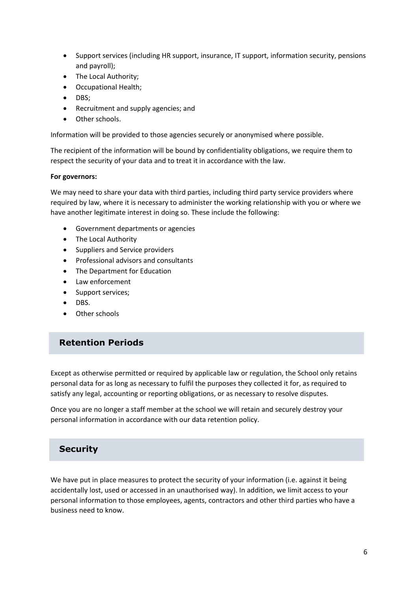- Support services (including HR support, insurance, IT support, information security, pensions and payroll);
- The Local Authority;
- Occupational Health;
- DBS;
- Recruitment and supply agencies; and
- Other schools.

Information will be provided to those agencies securely or anonymised where possible.

The recipient of the information will be bound by confidentiality obligations, we require them to respect the security of your data and to treat it in accordance with the law.

#### **For governors:**

We may need to share your data with third parties, including third party service providers where required by law, where it is necessary to administer the working relationship with you or where we have another legitimate interest in doing so. These include the following:

- Government departments or agencies
- The Local Authority
- Suppliers and Service providers
- Professional advisors and consultants
- The Department for Education
- Law enforcement
- Support services;
- DBS.
- Other schools

### **Retention Periods**

Except as otherwise permitted or required by applicable law or regulation, the School only retains personal data for as long as necessary to fulfil the purposes they collected it for, as required to satisfy any legal, accounting or reporting obligations, or as necessary to resolve disputes.

Once you are no longer a staff member at the school we will retain and securely destroy your personal information in accordance with our data retention policy.

## **Security**

We have put in place measures to protect the security of your information (i.e. against it being accidentally lost, used or accessed in an unauthorised way). In addition, we limit access to your personal information to those employees, agents, contractors and other third parties who have a business need to know.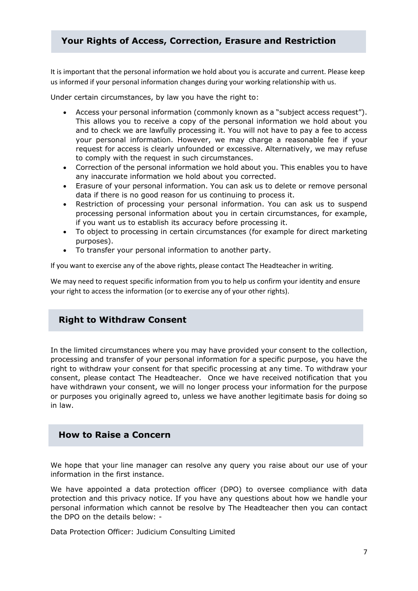## **Your Rights of Access, Correction, Erasure and Restriction**

It is important that the personal information we hold about you is accurate and current. Please keep us informed if your personal information changes during your working relationship with us.

Under certain circumstances, by law you have the right to:

- Access your personal information (commonly known as a "subject access request"). This allows you to receive a copy of the personal information we hold about you and to check we are lawfully processing it. You will not have to pay a fee to access your personal information. However, we may charge a reasonable fee if your request for access is clearly unfounded or excessive. Alternatively, we may refuse to comply with the request in such circumstances.
- Correction of the personal information we hold about you. This enables you to have any inaccurate information we hold about you corrected.
- Erasure of your personal information. You can ask us to delete or remove personal data if there is no good reason for us continuing to process it.
- Restriction of processing your personal information. You can ask us to suspend processing personal information about you in certain circumstances, for example, if you want us to establish its accuracy before processing it.
- To object to processing in certain circumstances (for example for direct marketing purposes).
- To transfer your personal information to another party.

If you want to exercise any of the above rights, please contact The Headteacher in writing.

We may need to request specific information from you to help us confirm your identity and ensure your right to access the information (or to exercise any of your other rights).

## **Right to Withdraw Consent**

In the limited circumstances where you may have provided your consent to the collection, processing and transfer of your personal information for a specific purpose, you have the right to withdraw your consent for that specific processing at any time. To withdraw your consent, please contact The Headteacher. Once we have received notification that you have withdrawn your consent, we will no longer process your information for the purpose or purposes you originally agreed to, unless we have another legitimate basis for doing so in law.

#### **How to Raise a Concern**

We hope that your line manager can resolve any query you raise about our use of your information in the first instance.

We have appointed a data protection officer (DPO) to oversee compliance with data protection and this privacy notice. If you have any questions about how we handle your personal information which cannot be resolve by The Headteacher then you can contact the DPO on the details below: -

Data Protection Officer: Judicium Consulting Limited